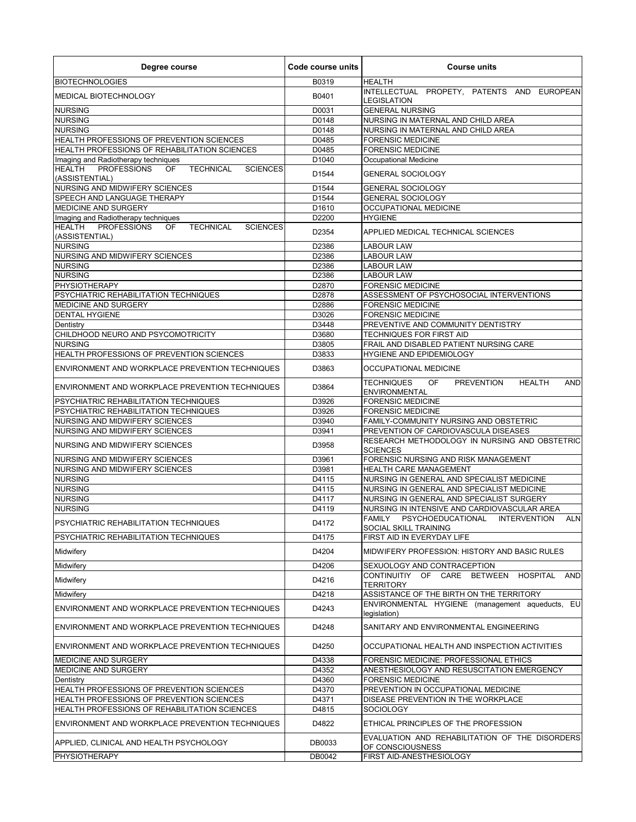| B0319<br><b>HEALTH</b><br>INTELLECTUAL PROPETY, PATENTS AND EUROPEAN<br>B0401<br>LEGISLATION<br>D0031<br><b>GENERAL NURSING</b><br><b>NURSING</b><br>D0148<br>NURSING IN MATERNAL AND CHILD AREA<br><b>NURSING</b><br>D0148<br>NURSING IN MATERNAL AND CHILD AREA<br>HEALTH PROFESSIONS OF PREVENTION SCIENCES<br>D0485<br><b>FORENSIC MEDICINE</b><br>HEALTH PROFESSIONS OF REHABILITATION SCIENCES<br>D0485<br><b>FORENSIC MEDICINE</b><br>Imaging and Radiotherapy techniques<br>D1040<br><b>Occupational Medicine</b><br>PROFESSIONS<br>OF<br><b>TECHNICAL</b><br><b>SCIENCES</b><br>D1544<br><b>GENERAL SOCIOLOGY</b><br>NURSING AND MIDWIFERY SCIENCES<br>D1544<br><b>GENERAL SOCIOLOGY</b><br>SPEECH AND LANGUAGE THERAPY<br>D1544<br><b>GENERAL SOCIOLOGY</b><br>MEDICINE AND SURGERY<br>D1610<br><b>OCCUPATIONAL MEDICINE</b><br>Imaging and Radiotherapy techniques<br>D2200<br><b>HYGIENE</b><br><b>PROFESSIONS</b><br><b>TECHNICAL</b><br>OF.<br><b>SCIENCES</b><br>D2354<br>APPLIED MEDICAL TECHNICAL SCIENCES<br>(ASSISTENTIAL)<br>D2386<br><b>LABOUR LAW</b><br>D2386<br><b>LABOUR LAW</b><br><b>NURSING</b><br>D2386<br><b>LABOUR LAW</b><br><b>NURSING</b><br>D2386<br><b>LABOUR LAW</b><br><b>PHYSIOTHERAPY</b><br>D2870<br><b>FORENSIC MEDICINE</b><br>PSYCHIATRIC REHABILITATION TECHNIQUES<br>D2878<br>ASSESSMENT OF PSYCHOSOCIAL INTERVENTIONS<br>MEDICINE AND SURGERY<br>D2886<br><b>FORENSIC MEDICINE</b><br><b>DENTAL HYGIENE</b><br><b>FORENSIC MEDICINE</b><br>D3026<br>D3448<br>Dentistry<br>PREVENTIVE AND COMMUNITY DENTISTRY<br>D3680<br>TECHNIQUES FOR FIRST AID<br>D3805<br>FRAIL AND DISABLED PATIENT NURSING CARE<br>D3833<br>HYGIENE AND EPIDEMIOLOGY<br>D3863<br><b>OCCUPATIONAL MEDICINE</b><br><b>PREVENTION</b><br><b>HEALTH</b><br><b>TECHNIQUES</b><br>OF<br><b>AND</b><br>D3864<br><b>ENVIRONMENTAL</b><br><b>FORENSIC MEDICINE</b><br>D3926<br>PSYCHIATRIC REHABILITATION TECHNIQUES<br>D3926<br><b>FORENSIC MEDICINE</b><br>NURSING AND MIDWIFERY SCIENCES<br>D3940<br>FAMILY-COMMUNITY NURSING AND OBSTETRIC<br>NURSING AND MIDWIFERY SCIENCES<br>D3941<br>PREVENTION OF CARDIOVASCULA DISEASES<br>RESEARCH METHODOLOGY IN NURSING AND OBSTETRIC<br>D3958<br>NURSING AND MIDWIFERY SCIENCES<br><b>SCIENCES</b><br>NURSING AND MIDWIFERY SCIENCES<br>FORENSIC NURSING AND RISK MANAGEMENT<br>D3961<br>NURSING AND MIDWIFERY SCIENCES<br>D3981<br>HEALTH CARE MANAGEMENT<br><b>NURSING</b><br>D4115<br>NURSING IN GENERAL AND SPECIALIST MEDICINE<br><b>NURSING</b><br>NURSING IN GENERAL AND SPECIALIST MEDICINE<br>D4115<br><b>NURSING</b><br>NURSING IN GENERAL AND SPECIALIST SURGERY<br>D4117<br>NURSING IN INTENSIVE AND CARDIOVASCULAR AREA<br>D4119<br>PSYCHOEDUCATIONAL<br><b>FAMILY</b><br><b>INTERVENTION</b><br><b>ALN</b><br>D4172<br>SOCIAL SKILL TRAINING<br>D4175<br>FIRST AID IN EVERYDAY LIFE<br>D4204<br>MIDWIFERY PROFESSION: HISTORY AND BASIC RULES<br>D4206<br>SEXUOLOGY AND CONTRACEPTION<br>CONTINUITIY OF CARE BETWEEN HOSPITAL<br><b>AND</b><br>D4216<br><b>TERRITORY</b><br>ASSISTANCE OF THE BIRTH ON THE TERRITORY<br>D4218<br>ENVIRONMENTAL HYGIENE (management aqueducts, EU<br>D4243<br>legislation)<br>D4248<br>SANITARY AND ENVIRONMENTAL ENGINEERING<br>D4250<br>OCCUPATIONAL HEALTH AND INSPECTION ACTIVITIES<br>D4338<br>FORENSIC MEDICINE: PROFESSIONAL ETHICS<br>D4352<br>ANESTHESIOLOGY AND RESUSCITATION EMERGENCY<br>D4360<br><b>FORENSIC MEDICINE</b><br>Dentistry<br>HEALTH PROFESSIONS OF PREVENTION SCIENCES<br>D4370<br>PREVENTION IN OCCUPATIONAL MEDICINE<br><b>HEALTH PROFESSIONS OF PREVENTION SCIENCES</b><br>D4371<br>DISEASE PREVENTION IN THE WORKPLACE<br>HEALTH PROFESSIONS OF REHABILITATION SCIENCES<br>D4815<br><b>SOCIOLOGY</b><br>D4822<br>ETHICAL PRINCIPLES OF THE PROFESSION<br>EVALUATION AND REHABILITATION OF THE DISORDERS<br>DB0033<br>OF CONSCIOUSNESS<br>DB0042<br>FIRST AID-ANESTHESIOLOGY | Degree course                                   | Code course units | <b>Course units</b> |
|------------------------------------------------------------------------------------------------------------------------------------------------------------------------------------------------------------------------------------------------------------------------------------------------------------------------------------------------------------------------------------------------------------------------------------------------------------------------------------------------------------------------------------------------------------------------------------------------------------------------------------------------------------------------------------------------------------------------------------------------------------------------------------------------------------------------------------------------------------------------------------------------------------------------------------------------------------------------------------------------------------------------------------------------------------------------------------------------------------------------------------------------------------------------------------------------------------------------------------------------------------------------------------------------------------------------------------------------------------------------------------------------------------------------------------------------------------------------------------------------------------------------------------------------------------------------------------------------------------------------------------------------------------------------------------------------------------------------------------------------------------------------------------------------------------------------------------------------------------------------------------------------------------------------------------------------------------------------------------------------------------------------------------------------------------------------------------------------------------------------------------------------------------------------------------------------------------------------------------------------------------------------------------------------------------------------------------------------------------------------------------------------------------------------------------------------------------------------------------------------------------------------------------------------------------------------------------------------------------------------------------------------------------------------------------------------------------------------------------------------------------------------------------------------------------------------------------------------------------------------------------------------------------------------------------------------------------------------------------------------------------------------------------------------------------------------------------------------------------------------------------------------------------------------------------------------------------------------------------------------------------------------------------------------------------------------------------------------------------------------------------------------------------------------------------------------------------------------------------------------------------------------------------------------------------------------------------------------------------------------------------------------------------------------------------------------------------------------------------------------------------------------------------------------------------------------------------------------------------------------------------------------------------------|-------------------------------------------------|-------------------|---------------------|
|                                                                                                                                                                                                                                                                                                                                                                                                                                                                                                                                                                                                                                                                                                                                                                                                                                                                                                                                                                                                                                                                                                                                                                                                                                                                                                                                                                                                                                                                                                                                                                                                                                                                                                                                                                                                                                                                                                                                                                                                                                                                                                                                                                                                                                                                                                                                                                                                                                                                                                                                                                                                                                                                                                                                                                                                                                                                                                                                                                                                                                                                                                                                                                                                                                                                                                                                                                                                                                                                                                                                                                                                                                                                                                                                                                                                                                                                                                                  | <b>BIOTECHNOLOGIES</b>                          |                   |                     |
|                                                                                                                                                                                                                                                                                                                                                                                                                                                                                                                                                                                                                                                                                                                                                                                                                                                                                                                                                                                                                                                                                                                                                                                                                                                                                                                                                                                                                                                                                                                                                                                                                                                                                                                                                                                                                                                                                                                                                                                                                                                                                                                                                                                                                                                                                                                                                                                                                                                                                                                                                                                                                                                                                                                                                                                                                                                                                                                                                                                                                                                                                                                                                                                                                                                                                                                                                                                                                                                                                                                                                                                                                                                                                                                                                                                                                                                                                                                  | <b>MEDICAL BIOTECHNOLOGY</b>                    |                   |                     |
|                                                                                                                                                                                                                                                                                                                                                                                                                                                                                                                                                                                                                                                                                                                                                                                                                                                                                                                                                                                                                                                                                                                                                                                                                                                                                                                                                                                                                                                                                                                                                                                                                                                                                                                                                                                                                                                                                                                                                                                                                                                                                                                                                                                                                                                                                                                                                                                                                                                                                                                                                                                                                                                                                                                                                                                                                                                                                                                                                                                                                                                                                                                                                                                                                                                                                                                                                                                                                                                                                                                                                                                                                                                                                                                                                                                                                                                                                                                  | <b>NURSING</b>                                  |                   |                     |
|                                                                                                                                                                                                                                                                                                                                                                                                                                                                                                                                                                                                                                                                                                                                                                                                                                                                                                                                                                                                                                                                                                                                                                                                                                                                                                                                                                                                                                                                                                                                                                                                                                                                                                                                                                                                                                                                                                                                                                                                                                                                                                                                                                                                                                                                                                                                                                                                                                                                                                                                                                                                                                                                                                                                                                                                                                                                                                                                                                                                                                                                                                                                                                                                                                                                                                                                                                                                                                                                                                                                                                                                                                                                                                                                                                                                                                                                                                                  |                                                 |                   |                     |
|                                                                                                                                                                                                                                                                                                                                                                                                                                                                                                                                                                                                                                                                                                                                                                                                                                                                                                                                                                                                                                                                                                                                                                                                                                                                                                                                                                                                                                                                                                                                                                                                                                                                                                                                                                                                                                                                                                                                                                                                                                                                                                                                                                                                                                                                                                                                                                                                                                                                                                                                                                                                                                                                                                                                                                                                                                                                                                                                                                                                                                                                                                                                                                                                                                                                                                                                                                                                                                                                                                                                                                                                                                                                                                                                                                                                                                                                                                                  |                                                 |                   |                     |
|                                                                                                                                                                                                                                                                                                                                                                                                                                                                                                                                                                                                                                                                                                                                                                                                                                                                                                                                                                                                                                                                                                                                                                                                                                                                                                                                                                                                                                                                                                                                                                                                                                                                                                                                                                                                                                                                                                                                                                                                                                                                                                                                                                                                                                                                                                                                                                                                                                                                                                                                                                                                                                                                                                                                                                                                                                                                                                                                                                                                                                                                                                                                                                                                                                                                                                                                                                                                                                                                                                                                                                                                                                                                                                                                                                                                                                                                                                                  |                                                 |                   |                     |
|                                                                                                                                                                                                                                                                                                                                                                                                                                                                                                                                                                                                                                                                                                                                                                                                                                                                                                                                                                                                                                                                                                                                                                                                                                                                                                                                                                                                                                                                                                                                                                                                                                                                                                                                                                                                                                                                                                                                                                                                                                                                                                                                                                                                                                                                                                                                                                                                                                                                                                                                                                                                                                                                                                                                                                                                                                                                                                                                                                                                                                                                                                                                                                                                                                                                                                                                                                                                                                                                                                                                                                                                                                                                                                                                                                                                                                                                                                                  |                                                 |                   |                     |
|                                                                                                                                                                                                                                                                                                                                                                                                                                                                                                                                                                                                                                                                                                                                                                                                                                                                                                                                                                                                                                                                                                                                                                                                                                                                                                                                                                                                                                                                                                                                                                                                                                                                                                                                                                                                                                                                                                                                                                                                                                                                                                                                                                                                                                                                                                                                                                                                                                                                                                                                                                                                                                                                                                                                                                                                                                                                                                                                                                                                                                                                                                                                                                                                                                                                                                                                                                                                                                                                                                                                                                                                                                                                                                                                                                                                                                                                                                                  | <b>HEALTH</b>                                   |                   |                     |
|                                                                                                                                                                                                                                                                                                                                                                                                                                                                                                                                                                                                                                                                                                                                                                                                                                                                                                                                                                                                                                                                                                                                                                                                                                                                                                                                                                                                                                                                                                                                                                                                                                                                                                                                                                                                                                                                                                                                                                                                                                                                                                                                                                                                                                                                                                                                                                                                                                                                                                                                                                                                                                                                                                                                                                                                                                                                                                                                                                                                                                                                                                                                                                                                                                                                                                                                                                                                                                                                                                                                                                                                                                                                                                                                                                                                                                                                                                                  | (ASSISTENTIAL)                                  |                   |                     |
|                                                                                                                                                                                                                                                                                                                                                                                                                                                                                                                                                                                                                                                                                                                                                                                                                                                                                                                                                                                                                                                                                                                                                                                                                                                                                                                                                                                                                                                                                                                                                                                                                                                                                                                                                                                                                                                                                                                                                                                                                                                                                                                                                                                                                                                                                                                                                                                                                                                                                                                                                                                                                                                                                                                                                                                                                                                                                                                                                                                                                                                                                                                                                                                                                                                                                                                                                                                                                                                                                                                                                                                                                                                                                                                                                                                                                                                                                                                  |                                                 |                   |                     |
|                                                                                                                                                                                                                                                                                                                                                                                                                                                                                                                                                                                                                                                                                                                                                                                                                                                                                                                                                                                                                                                                                                                                                                                                                                                                                                                                                                                                                                                                                                                                                                                                                                                                                                                                                                                                                                                                                                                                                                                                                                                                                                                                                                                                                                                                                                                                                                                                                                                                                                                                                                                                                                                                                                                                                                                                                                                                                                                                                                                                                                                                                                                                                                                                                                                                                                                                                                                                                                                                                                                                                                                                                                                                                                                                                                                                                                                                                                                  |                                                 |                   |                     |
|                                                                                                                                                                                                                                                                                                                                                                                                                                                                                                                                                                                                                                                                                                                                                                                                                                                                                                                                                                                                                                                                                                                                                                                                                                                                                                                                                                                                                                                                                                                                                                                                                                                                                                                                                                                                                                                                                                                                                                                                                                                                                                                                                                                                                                                                                                                                                                                                                                                                                                                                                                                                                                                                                                                                                                                                                                                                                                                                                                                                                                                                                                                                                                                                                                                                                                                                                                                                                                                                                                                                                                                                                                                                                                                                                                                                                                                                                                                  |                                                 |                   |                     |
|                                                                                                                                                                                                                                                                                                                                                                                                                                                                                                                                                                                                                                                                                                                                                                                                                                                                                                                                                                                                                                                                                                                                                                                                                                                                                                                                                                                                                                                                                                                                                                                                                                                                                                                                                                                                                                                                                                                                                                                                                                                                                                                                                                                                                                                                                                                                                                                                                                                                                                                                                                                                                                                                                                                                                                                                                                                                                                                                                                                                                                                                                                                                                                                                                                                                                                                                                                                                                                                                                                                                                                                                                                                                                                                                                                                                                                                                                                                  | <b>HEALTH</b>                                   |                   |                     |
|                                                                                                                                                                                                                                                                                                                                                                                                                                                                                                                                                                                                                                                                                                                                                                                                                                                                                                                                                                                                                                                                                                                                                                                                                                                                                                                                                                                                                                                                                                                                                                                                                                                                                                                                                                                                                                                                                                                                                                                                                                                                                                                                                                                                                                                                                                                                                                                                                                                                                                                                                                                                                                                                                                                                                                                                                                                                                                                                                                                                                                                                                                                                                                                                                                                                                                                                                                                                                                                                                                                                                                                                                                                                                                                                                                                                                                                                                                                  | <b>NURSING</b>                                  |                   |                     |
|                                                                                                                                                                                                                                                                                                                                                                                                                                                                                                                                                                                                                                                                                                                                                                                                                                                                                                                                                                                                                                                                                                                                                                                                                                                                                                                                                                                                                                                                                                                                                                                                                                                                                                                                                                                                                                                                                                                                                                                                                                                                                                                                                                                                                                                                                                                                                                                                                                                                                                                                                                                                                                                                                                                                                                                                                                                                                                                                                                                                                                                                                                                                                                                                                                                                                                                                                                                                                                                                                                                                                                                                                                                                                                                                                                                                                                                                                                                  | NURSING AND MIDWIFERY SCIENCES                  |                   |                     |
|                                                                                                                                                                                                                                                                                                                                                                                                                                                                                                                                                                                                                                                                                                                                                                                                                                                                                                                                                                                                                                                                                                                                                                                                                                                                                                                                                                                                                                                                                                                                                                                                                                                                                                                                                                                                                                                                                                                                                                                                                                                                                                                                                                                                                                                                                                                                                                                                                                                                                                                                                                                                                                                                                                                                                                                                                                                                                                                                                                                                                                                                                                                                                                                                                                                                                                                                                                                                                                                                                                                                                                                                                                                                                                                                                                                                                                                                                                                  |                                                 |                   |                     |
|                                                                                                                                                                                                                                                                                                                                                                                                                                                                                                                                                                                                                                                                                                                                                                                                                                                                                                                                                                                                                                                                                                                                                                                                                                                                                                                                                                                                                                                                                                                                                                                                                                                                                                                                                                                                                                                                                                                                                                                                                                                                                                                                                                                                                                                                                                                                                                                                                                                                                                                                                                                                                                                                                                                                                                                                                                                                                                                                                                                                                                                                                                                                                                                                                                                                                                                                                                                                                                                                                                                                                                                                                                                                                                                                                                                                                                                                                                                  |                                                 |                   |                     |
|                                                                                                                                                                                                                                                                                                                                                                                                                                                                                                                                                                                                                                                                                                                                                                                                                                                                                                                                                                                                                                                                                                                                                                                                                                                                                                                                                                                                                                                                                                                                                                                                                                                                                                                                                                                                                                                                                                                                                                                                                                                                                                                                                                                                                                                                                                                                                                                                                                                                                                                                                                                                                                                                                                                                                                                                                                                                                                                                                                                                                                                                                                                                                                                                                                                                                                                                                                                                                                                                                                                                                                                                                                                                                                                                                                                                                                                                                                                  |                                                 |                   |                     |
|                                                                                                                                                                                                                                                                                                                                                                                                                                                                                                                                                                                                                                                                                                                                                                                                                                                                                                                                                                                                                                                                                                                                                                                                                                                                                                                                                                                                                                                                                                                                                                                                                                                                                                                                                                                                                                                                                                                                                                                                                                                                                                                                                                                                                                                                                                                                                                                                                                                                                                                                                                                                                                                                                                                                                                                                                                                                                                                                                                                                                                                                                                                                                                                                                                                                                                                                                                                                                                                                                                                                                                                                                                                                                                                                                                                                                                                                                                                  |                                                 |                   |                     |
|                                                                                                                                                                                                                                                                                                                                                                                                                                                                                                                                                                                                                                                                                                                                                                                                                                                                                                                                                                                                                                                                                                                                                                                                                                                                                                                                                                                                                                                                                                                                                                                                                                                                                                                                                                                                                                                                                                                                                                                                                                                                                                                                                                                                                                                                                                                                                                                                                                                                                                                                                                                                                                                                                                                                                                                                                                                                                                                                                                                                                                                                                                                                                                                                                                                                                                                                                                                                                                                                                                                                                                                                                                                                                                                                                                                                                                                                                                                  |                                                 |                   |                     |
|                                                                                                                                                                                                                                                                                                                                                                                                                                                                                                                                                                                                                                                                                                                                                                                                                                                                                                                                                                                                                                                                                                                                                                                                                                                                                                                                                                                                                                                                                                                                                                                                                                                                                                                                                                                                                                                                                                                                                                                                                                                                                                                                                                                                                                                                                                                                                                                                                                                                                                                                                                                                                                                                                                                                                                                                                                                                                                                                                                                                                                                                                                                                                                                                                                                                                                                                                                                                                                                                                                                                                                                                                                                                                                                                                                                                                                                                                                                  |                                                 |                   |                     |
|                                                                                                                                                                                                                                                                                                                                                                                                                                                                                                                                                                                                                                                                                                                                                                                                                                                                                                                                                                                                                                                                                                                                                                                                                                                                                                                                                                                                                                                                                                                                                                                                                                                                                                                                                                                                                                                                                                                                                                                                                                                                                                                                                                                                                                                                                                                                                                                                                                                                                                                                                                                                                                                                                                                                                                                                                                                                                                                                                                                                                                                                                                                                                                                                                                                                                                                                                                                                                                                                                                                                                                                                                                                                                                                                                                                                                                                                                                                  | CHILDHOOD NEURO AND PSYCOMOTRICITY              |                   |                     |
|                                                                                                                                                                                                                                                                                                                                                                                                                                                                                                                                                                                                                                                                                                                                                                                                                                                                                                                                                                                                                                                                                                                                                                                                                                                                                                                                                                                                                                                                                                                                                                                                                                                                                                                                                                                                                                                                                                                                                                                                                                                                                                                                                                                                                                                                                                                                                                                                                                                                                                                                                                                                                                                                                                                                                                                                                                                                                                                                                                                                                                                                                                                                                                                                                                                                                                                                                                                                                                                                                                                                                                                                                                                                                                                                                                                                                                                                                                                  | <b>NURSING</b>                                  |                   |                     |
|                                                                                                                                                                                                                                                                                                                                                                                                                                                                                                                                                                                                                                                                                                                                                                                                                                                                                                                                                                                                                                                                                                                                                                                                                                                                                                                                                                                                                                                                                                                                                                                                                                                                                                                                                                                                                                                                                                                                                                                                                                                                                                                                                                                                                                                                                                                                                                                                                                                                                                                                                                                                                                                                                                                                                                                                                                                                                                                                                                                                                                                                                                                                                                                                                                                                                                                                                                                                                                                                                                                                                                                                                                                                                                                                                                                                                                                                                                                  | HEALTH PROFESSIONS OF PREVENTION SCIENCES       |                   |                     |
|                                                                                                                                                                                                                                                                                                                                                                                                                                                                                                                                                                                                                                                                                                                                                                                                                                                                                                                                                                                                                                                                                                                                                                                                                                                                                                                                                                                                                                                                                                                                                                                                                                                                                                                                                                                                                                                                                                                                                                                                                                                                                                                                                                                                                                                                                                                                                                                                                                                                                                                                                                                                                                                                                                                                                                                                                                                                                                                                                                                                                                                                                                                                                                                                                                                                                                                                                                                                                                                                                                                                                                                                                                                                                                                                                                                                                                                                                                                  | ENVIRONMENT AND WORKPLACE PREVENTION TECHNIQUES |                   |                     |
|                                                                                                                                                                                                                                                                                                                                                                                                                                                                                                                                                                                                                                                                                                                                                                                                                                                                                                                                                                                                                                                                                                                                                                                                                                                                                                                                                                                                                                                                                                                                                                                                                                                                                                                                                                                                                                                                                                                                                                                                                                                                                                                                                                                                                                                                                                                                                                                                                                                                                                                                                                                                                                                                                                                                                                                                                                                                                                                                                                                                                                                                                                                                                                                                                                                                                                                                                                                                                                                                                                                                                                                                                                                                                                                                                                                                                                                                                                                  | ENVIRONMENT AND WORKPLACE PREVENTION TECHNIQUES |                   |                     |
|                                                                                                                                                                                                                                                                                                                                                                                                                                                                                                                                                                                                                                                                                                                                                                                                                                                                                                                                                                                                                                                                                                                                                                                                                                                                                                                                                                                                                                                                                                                                                                                                                                                                                                                                                                                                                                                                                                                                                                                                                                                                                                                                                                                                                                                                                                                                                                                                                                                                                                                                                                                                                                                                                                                                                                                                                                                                                                                                                                                                                                                                                                                                                                                                                                                                                                                                                                                                                                                                                                                                                                                                                                                                                                                                                                                                                                                                                                                  | PSYCHIATRIC REHABILITATION TECHNIQUES           |                   |                     |
|                                                                                                                                                                                                                                                                                                                                                                                                                                                                                                                                                                                                                                                                                                                                                                                                                                                                                                                                                                                                                                                                                                                                                                                                                                                                                                                                                                                                                                                                                                                                                                                                                                                                                                                                                                                                                                                                                                                                                                                                                                                                                                                                                                                                                                                                                                                                                                                                                                                                                                                                                                                                                                                                                                                                                                                                                                                                                                                                                                                                                                                                                                                                                                                                                                                                                                                                                                                                                                                                                                                                                                                                                                                                                                                                                                                                                                                                                                                  |                                                 |                   |                     |
|                                                                                                                                                                                                                                                                                                                                                                                                                                                                                                                                                                                                                                                                                                                                                                                                                                                                                                                                                                                                                                                                                                                                                                                                                                                                                                                                                                                                                                                                                                                                                                                                                                                                                                                                                                                                                                                                                                                                                                                                                                                                                                                                                                                                                                                                                                                                                                                                                                                                                                                                                                                                                                                                                                                                                                                                                                                                                                                                                                                                                                                                                                                                                                                                                                                                                                                                                                                                                                                                                                                                                                                                                                                                                                                                                                                                                                                                                                                  |                                                 |                   |                     |
|                                                                                                                                                                                                                                                                                                                                                                                                                                                                                                                                                                                                                                                                                                                                                                                                                                                                                                                                                                                                                                                                                                                                                                                                                                                                                                                                                                                                                                                                                                                                                                                                                                                                                                                                                                                                                                                                                                                                                                                                                                                                                                                                                                                                                                                                                                                                                                                                                                                                                                                                                                                                                                                                                                                                                                                                                                                                                                                                                                                                                                                                                                                                                                                                                                                                                                                                                                                                                                                                                                                                                                                                                                                                                                                                                                                                                                                                                                                  |                                                 |                   |                     |
|                                                                                                                                                                                                                                                                                                                                                                                                                                                                                                                                                                                                                                                                                                                                                                                                                                                                                                                                                                                                                                                                                                                                                                                                                                                                                                                                                                                                                                                                                                                                                                                                                                                                                                                                                                                                                                                                                                                                                                                                                                                                                                                                                                                                                                                                                                                                                                                                                                                                                                                                                                                                                                                                                                                                                                                                                                                                                                                                                                                                                                                                                                                                                                                                                                                                                                                                                                                                                                                                                                                                                                                                                                                                                                                                                                                                                                                                                                                  |                                                 |                   |                     |
|                                                                                                                                                                                                                                                                                                                                                                                                                                                                                                                                                                                                                                                                                                                                                                                                                                                                                                                                                                                                                                                                                                                                                                                                                                                                                                                                                                                                                                                                                                                                                                                                                                                                                                                                                                                                                                                                                                                                                                                                                                                                                                                                                                                                                                                                                                                                                                                                                                                                                                                                                                                                                                                                                                                                                                                                                                                                                                                                                                                                                                                                                                                                                                                                                                                                                                                                                                                                                                                                                                                                                                                                                                                                                                                                                                                                                                                                                                                  |                                                 |                   |                     |
|                                                                                                                                                                                                                                                                                                                                                                                                                                                                                                                                                                                                                                                                                                                                                                                                                                                                                                                                                                                                                                                                                                                                                                                                                                                                                                                                                                                                                                                                                                                                                                                                                                                                                                                                                                                                                                                                                                                                                                                                                                                                                                                                                                                                                                                                                                                                                                                                                                                                                                                                                                                                                                                                                                                                                                                                                                                                                                                                                                                                                                                                                                                                                                                                                                                                                                                                                                                                                                                                                                                                                                                                                                                                                                                                                                                                                                                                                                                  |                                                 |                   |                     |
|                                                                                                                                                                                                                                                                                                                                                                                                                                                                                                                                                                                                                                                                                                                                                                                                                                                                                                                                                                                                                                                                                                                                                                                                                                                                                                                                                                                                                                                                                                                                                                                                                                                                                                                                                                                                                                                                                                                                                                                                                                                                                                                                                                                                                                                                                                                                                                                                                                                                                                                                                                                                                                                                                                                                                                                                                                                                                                                                                                                                                                                                                                                                                                                                                                                                                                                                                                                                                                                                                                                                                                                                                                                                                                                                                                                                                                                                                                                  |                                                 |                   |                     |
|                                                                                                                                                                                                                                                                                                                                                                                                                                                                                                                                                                                                                                                                                                                                                                                                                                                                                                                                                                                                                                                                                                                                                                                                                                                                                                                                                                                                                                                                                                                                                                                                                                                                                                                                                                                                                                                                                                                                                                                                                                                                                                                                                                                                                                                                                                                                                                                                                                                                                                                                                                                                                                                                                                                                                                                                                                                                                                                                                                                                                                                                                                                                                                                                                                                                                                                                                                                                                                                                                                                                                                                                                                                                                                                                                                                                                                                                                                                  |                                                 |                   |                     |
|                                                                                                                                                                                                                                                                                                                                                                                                                                                                                                                                                                                                                                                                                                                                                                                                                                                                                                                                                                                                                                                                                                                                                                                                                                                                                                                                                                                                                                                                                                                                                                                                                                                                                                                                                                                                                                                                                                                                                                                                                                                                                                                                                                                                                                                                                                                                                                                                                                                                                                                                                                                                                                                                                                                                                                                                                                                                                                                                                                                                                                                                                                                                                                                                                                                                                                                                                                                                                                                                                                                                                                                                                                                                                                                                                                                                                                                                                                                  | <b>NURSING</b>                                  |                   |                     |
|                                                                                                                                                                                                                                                                                                                                                                                                                                                                                                                                                                                                                                                                                                                                                                                                                                                                                                                                                                                                                                                                                                                                                                                                                                                                                                                                                                                                                                                                                                                                                                                                                                                                                                                                                                                                                                                                                                                                                                                                                                                                                                                                                                                                                                                                                                                                                                                                                                                                                                                                                                                                                                                                                                                                                                                                                                                                                                                                                                                                                                                                                                                                                                                                                                                                                                                                                                                                                                                                                                                                                                                                                                                                                                                                                                                                                                                                                                                  | PSYCHIATRIC REHABILITATION TECHNIQUES           |                   |                     |
|                                                                                                                                                                                                                                                                                                                                                                                                                                                                                                                                                                                                                                                                                                                                                                                                                                                                                                                                                                                                                                                                                                                                                                                                                                                                                                                                                                                                                                                                                                                                                                                                                                                                                                                                                                                                                                                                                                                                                                                                                                                                                                                                                                                                                                                                                                                                                                                                                                                                                                                                                                                                                                                                                                                                                                                                                                                                                                                                                                                                                                                                                                                                                                                                                                                                                                                                                                                                                                                                                                                                                                                                                                                                                                                                                                                                                                                                                                                  | PSYCHIATRIC REHABILITATION TECHNIQUES           |                   |                     |
|                                                                                                                                                                                                                                                                                                                                                                                                                                                                                                                                                                                                                                                                                                                                                                                                                                                                                                                                                                                                                                                                                                                                                                                                                                                                                                                                                                                                                                                                                                                                                                                                                                                                                                                                                                                                                                                                                                                                                                                                                                                                                                                                                                                                                                                                                                                                                                                                                                                                                                                                                                                                                                                                                                                                                                                                                                                                                                                                                                                                                                                                                                                                                                                                                                                                                                                                                                                                                                                                                                                                                                                                                                                                                                                                                                                                                                                                                                                  | Midwifery                                       |                   |                     |
|                                                                                                                                                                                                                                                                                                                                                                                                                                                                                                                                                                                                                                                                                                                                                                                                                                                                                                                                                                                                                                                                                                                                                                                                                                                                                                                                                                                                                                                                                                                                                                                                                                                                                                                                                                                                                                                                                                                                                                                                                                                                                                                                                                                                                                                                                                                                                                                                                                                                                                                                                                                                                                                                                                                                                                                                                                                                                                                                                                                                                                                                                                                                                                                                                                                                                                                                                                                                                                                                                                                                                                                                                                                                                                                                                                                                                                                                                                                  | Midwifery                                       |                   |                     |
|                                                                                                                                                                                                                                                                                                                                                                                                                                                                                                                                                                                                                                                                                                                                                                                                                                                                                                                                                                                                                                                                                                                                                                                                                                                                                                                                                                                                                                                                                                                                                                                                                                                                                                                                                                                                                                                                                                                                                                                                                                                                                                                                                                                                                                                                                                                                                                                                                                                                                                                                                                                                                                                                                                                                                                                                                                                                                                                                                                                                                                                                                                                                                                                                                                                                                                                                                                                                                                                                                                                                                                                                                                                                                                                                                                                                                                                                                                                  | Midwifery                                       |                   |                     |
|                                                                                                                                                                                                                                                                                                                                                                                                                                                                                                                                                                                                                                                                                                                                                                                                                                                                                                                                                                                                                                                                                                                                                                                                                                                                                                                                                                                                                                                                                                                                                                                                                                                                                                                                                                                                                                                                                                                                                                                                                                                                                                                                                                                                                                                                                                                                                                                                                                                                                                                                                                                                                                                                                                                                                                                                                                                                                                                                                                                                                                                                                                                                                                                                                                                                                                                                                                                                                                                                                                                                                                                                                                                                                                                                                                                                                                                                                                                  | Midwifery                                       |                   |                     |
|                                                                                                                                                                                                                                                                                                                                                                                                                                                                                                                                                                                                                                                                                                                                                                                                                                                                                                                                                                                                                                                                                                                                                                                                                                                                                                                                                                                                                                                                                                                                                                                                                                                                                                                                                                                                                                                                                                                                                                                                                                                                                                                                                                                                                                                                                                                                                                                                                                                                                                                                                                                                                                                                                                                                                                                                                                                                                                                                                                                                                                                                                                                                                                                                                                                                                                                                                                                                                                                                                                                                                                                                                                                                                                                                                                                                                                                                                                                  | ENVIRONMENT AND WORKPLACE PREVENTION TECHNIQUES |                   |                     |
|                                                                                                                                                                                                                                                                                                                                                                                                                                                                                                                                                                                                                                                                                                                                                                                                                                                                                                                                                                                                                                                                                                                                                                                                                                                                                                                                                                                                                                                                                                                                                                                                                                                                                                                                                                                                                                                                                                                                                                                                                                                                                                                                                                                                                                                                                                                                                                                                                                                                                                                                                                                                                                                                                                                                                                                                                                                                                                                                                                                                                                                                                                                                                                                                                                                                                                                                                                                                                                                                                                                                                                                                                                                                                                                                                                                                                                                                                                                  | ENVIRONMENT AND WORKPLACE PREVENTION TECHNIQUES |                   |                     |
|                                                                                                                                                                                                                                                                                                                                                                                                                                                                                                                                                                                                                                                                                                                                                                                                                                                                                                                                                                                                                                                                                                                                                                                                                                                                                                                                                                                                                                                                                                                                                                                                                                                                                                                                                                                                                                                                                                                                                                                                                                                                                                                                                                                                                                                                                                                                                                                                                                                                                                                                                                                                                                                                                                                                                                                                                                                                                                                                                                                                                                                                                                                                                                                                                                                                                                                                                                                                                                                                                                                                                                                                                                                                                                                                                                                                                                                                                                                  | ENVIRONMENT AND WORKPLACE PREVENTION TECHNIQUES |                   |                     |
|                                                                                                                                                                                                                                                                                                                                                                                                                                                                                                                                                                                                                                                                                                                                                                                                                                                                                                                                                                                                                                                                                                                                                                                                                                                                                                                                                                                                                                                                                                                                                                                                                                                                                                                                                                                                                                                                                                                                                                                                                                                                                                                                                                                                                                                                                                                                                                                                                                                                                                                                                                                                                                                                                                                                                                                                                                                                                                                                                                                                                                                                                                                                                                                                                                                                                                                                                                                                                                                                                                                                                                                                                                                                                                                                                                                                                                                                                                                  | MEDICINE AND SURGERY                            |                   |                     |
|                                                                                                                                                                                                                                                                                                                                                                                                                                                                                                                                                                                                                                                                                                                                                                                                                                                                                                                                                                                                                                                                                                                                                                                                                                                                                                                                                                                                                                                                                                                                                                                                                                                                                                                                                                                                                                                                                                                                                                                                                                                                                                                                                                                                                                                                                                                                                                                                                                                                                                                                                                                                                                                                                                                                                                                                                                                                                                                                                                                                                                                                                                                                                                                                                                                                                                                                                                                                                                                                                                                                                                                                                                                                                                                                                                                                                                                                                                                  | MEDICINE AND SURGERY                            |                   |                     |
|                                                                                                                                                                                                                                                                                                                                                                                                                                                                                                                                                                                                                                                                                                                                                                                                                                                                                                                                                                                                                                                                                                                                                                                                                                                                                                                                                                                                                                                                                                                                                                                                                                                                                                                                                                                                                                                                                                                                                                                                                                                                                                                                                                                                                                                                                                                                                                                                                                                                                                                                                                                                                                                                                                                                                                                                                                                                                                                                                                                                                                                                                                                                                                                                                                                                                                                                                                                                                                                                                                                                                                                                                                                                                                                                                                                                                                                                                                                  |                                                 |                   |                     |
|                                                                                                                                                                                                                                                                                                                                                                                                                                                                                                                                                                                                                                                                                                                                                                                                                                                                                                                                                                                                                                                                                                                                                                                                                                                                                                                                                                                                                                                                                                                                                                                                                                                                                                                                                                                                                                                                                                                                                                                                                                                                                                                                                                                                                                                                                                                                                                                                                                                                                                                                                                                                                                                                                                                                                                                                                                                                                                                                                                                                                                                                                                                                                                                                                                                                                                                                                                                                                                                                                                                                                                                                                                                                                                                                                                                                                                                                                                                  |                                                 |                   |                     |
|                                                                                                                                                                                                                                                                                                                                                                                                                                                                                                                                                                                                                                                                                                                                                                                                                                                                                                                                                                                                                                                                                                                                                                                                                                                                                                                                                                                                                                                                                                                                                                                                                                                                                                                                                                                                                                                                                                                                                                                                                                                                                                                                                                                                                                                                                                                                                                                                                                                                                                                                                                                                                                                                                                                                                                                                                                                                                                                                                                                                                                                                                                                                                                                                                                                                                                                                                                                                                                                                                                                                                                                                                                                                                                                                                                                                                                                                                                                  |                                                 |                   |                     |
|                                                                                                                                                                                                                                                                                                                                                                                                                                                                                                                                                                                                                                                                                                                                                                                                                                                                                                                                                                                                                                                                                                                                                                                                                                                                                                                                                                                                                                                                                                                                                                                                                                                                                                                                                                                                                                                                                                                                                                                                                                                                                                                                                                                                                                                                                                                                                                                                                                                                                                                                                                                                                                                                                                                                                                                                                                                                                                                                                                                                                                                                                                                                                                                                                                                                                                                                                                                                                                                                                                                                                                                                                                                                                                                                                                                                                                                                                                                  | ENVIRONMENT AND WORKPLACE PREVENTION TECHNIQUES |                   |                     |
|                                                                                                                                                                                                                                                                                                                                                                                                                                                                                                                                                                                                                                                                                                                                                                                                                                                                                                                                                                                                                                                                                                                                                                                                                                                                                                                                                                                                                                                                                                                                                                                                                                                                                                                                                                                                                                                                                                                                                                                                                                                                                                                                                                                                                                                                                                                                                                                                                                                                                                                                                                                                                                                                                                                                                                                                                                                                                                                                                                                                                                                                                                                                                                                                                                                                                                                                                                                                                                                                                                                                                                                                                                                                                                                                                                                                                                                                                                                  | APPLIED, CLINICAL AND HEALTH PSYCHOLOGY         |                   |                     |
|                                                                                                                                                                                                                                                                                                                                                                                                                                                                                                                                                                                                                                                                                                                                                                                                                                                                                                                                                                                                                                                                                                                                                                                                                                                                                                                                                                                                                                                                                                                                                                                                                                                                                                                                                                                                                                                                                                                                                                                                                                                                                                                                                                                                                                                                                                                                                                                                                                                                                                                                                                                                                                                                                                                                                                                                                                                                                                                                                                                                                                                                                                                                                                                                                                                                                                                                                                                                                                                                                                                                                                                                                                                                                                                                                                                                                                                                                                                  | <b>PHYSIOTHERAPY</b>                            |                   |                     |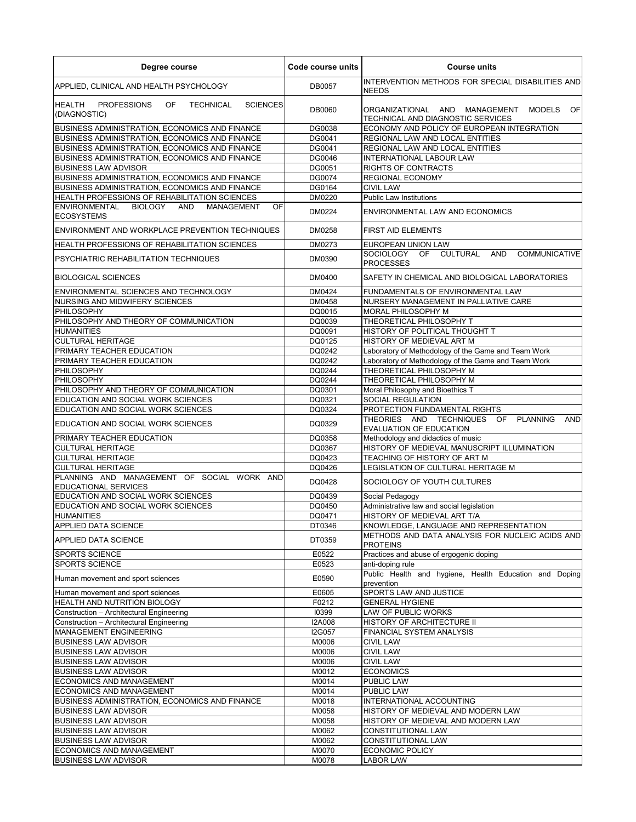| Degree course                                                                          | Code course units | <b>Course units</b>                                                                    |
|----------------------------------------------------------------------------------------|-------------------|----------------------------------------------------------------------------------------|
| APPLIED, CLINICAL AND HEALTH PSYCHOLOGY                                                | DB0057            | INTERVENTION METHODS FOR SPECIAL DISABILITIES AND<br><b>NEEDS</b>                      |
| <b>HEALTH</b><br>PROFESSIONS<br>OF<br><b>SCIENCES</b><br>TECHNICAL<br>(DIAGNOSTIC)     | DB0060            | OF<br>ORGANIZATIONAL AND MANAGEMENT MODELS<br>TECHNICAL AND DIAGNOSTIC SERVICES        |
| BUSINESS ADMINISTRATION. ECONOMICS AND FINANCE                                         | DG0038            | ECONOMY AND POLICY OF EUROPEAN INTEGRATION                                             |
| BUSINESS ADMINISTRATION, ECONOMICS AND FINANCE                                         | DG0041            | REGIONAL LAW AND LOCAL ENTITIES                                                        |
| BUSINESS ADMINISTRATION, ECONOMICS AND FINANCE                                         | DG0041            | REGIONAL LAW AND LOCAL ENTITIES                                                        |
| BUSINESS ADMINISTRATION, ECONOMICS AND FINANCE                                         | DG0046            | <b>INTERNATIONAL LABOUR LAW</b>                                                        |
| <b>BUSINESS LAW ADVISOR</b>                                                            | DG0051            | <b>RIGHTS OF CONTRACTS</b>                                                             |
| BUSINESS ADMINISTRATION, ECONOMICS AND FINANCE                                         | DG0074            | REGIONAL ECONOMY                                                                       |
| BUSINESS ADMINISTRATION, ECONOMICS AND FINANCE                                         | DG0164            | <b>CIVIL LAW</b>                                                                       |
| HEALTH PROFESSIONS OF REHABILITATION SCIENCES                                          | DM0220            | <b>Public Law Institutions</b>                                                         |
| <b>ENVIRONMENTAL</b><br><b>BIOLOGY</b><br>AND<br>OF<br>MANAGEMENT<br><b>ECOSYSTEMS</b> | DM0224            | <b>ENVIRONMENTAL LAW AND ECONOMICS</b>                                                 |
| ENVIRONMENT AND WORKPLACE PREVENTION TECHNIQUES                                        | DM0258            | <b>FIRST AID ELEMENTS</b>                                                              |
| HEALTH PROFESSIONS OF REHABILITATION SCIENCES                                          | DM0273            | EUROPEAN UNION LAW                                                                     |
| PSYCHIATRIC REHABILITATION TECHNIQUES                                                  | DM0390            | <b>CULTURAL</b><br>AND<br><b>COMMUNICATIVE</b><br>SOCIOLOGY<br>OF<br><b>PROCESSES</b>  |
| <b>BIOLOGICAL SCIENCES</b>                                                             | DM0400            | SAFETY IN CHEMICAL AND BIOLOGICAL LABORATORIES                                         |
| ENVIRONMENTAL SCIENCES AND TECHNOLOGY                                                  | DM0424            | FUNDAMENTALS OF ENVIRONMENTAL LAW                                                      |
| <b>NURSING AND MIDWIFERY SCIENCES</b>                                                  | DM0458            | NURSERY MANAGEMENT IN PALLIATIVE CARE                                                  |
| <b>PHILOSOPHY</b><br>PHILOSOPHY AND THEORY OF COMMUNICATION                            | DQ0015<br>DQ0039  | MORAL PHILOSOPHY M<br>THEORETICAL PHILOSOPHY T                                         |
| <b>HUMANITIES</b>                                                                      | DQ0091            | HISTORY OF POLITICAL THOUGHT T                                                         |
| <b>CULTURAL HERITAGE</b>                                                               | DQ0125            | HISTORY OF MEDIEVAL ART M                                                              |
| PRIMARY TEACHER EDUCATION                                                              | DQ0242            | Laboratory of Methodology of the Game and Team Work                                    |
| PRIMARY TEACHER EDUCATION                                                              | DQ0242            | Laboratory of Methodology of the Game and Team Work                                    |
| PHILOSOPHY                                                                             | DQ0244            | THEORETICAL PHILOSOPHY M                                                               |
| PHILOSOPHY                                                                             | DQ0244            | THEORETICAL PHILOSOPHY M                                                               |
| PHILOSOPHY AND THEORY OF COMMUNICATION                                                 | DQ0301            | Moral Philosophy and Bioethics T                                                       |
| EDUCATION AND SOCIAL WORK SCIENCES                                                     | DQ0321            | SOCIAL REGULATION                                                                      |
| EDUCATION AND SOCIAL WORK SCIENCES                                                     | DQ0324            | PROTECTION FUNDAMENTAL RIGHTS                                                          |
| EDUCATION AND SOCIAL WORK SCIENCES                                                     | DQ0329            | THEORIES AND TECHNIQUES OF<br><b>PLANNING</b><br><b>AND</b><br>EVALUATION OF EDUCATION |
| PRIMARY TEACHER EDUCATION                                                              | DQ0358            | Methodology and didactics of music                                                     |
| <b>CULTURAL HERITAGE</b>                                                               | DQ0367            | HISTORY OF MEDIEVAL MANUSCRIPT ILLUMINATION                                            |
| <b>CULTURAL HERITAGE</b>                                                               | DQ0423            | TEACHING OF HISTORY OF ART M                                                           |
| <b>CULTURAL HERITAGE</b>                                                               | DQ0426            | LEGISLATION OF CULTURAL HERITAGE M                                                     |
| PLANNING AND MANAGEMENT OF SOCIAL WORK AND<br>EDUCATIONAL SERVICES                     | DQ0428            | SOCIOLOGY OF YOUTH CULTURES                                                            |
| EDUCATION AND SOCIAL WORK SCIENCES                                                     | DQ0439            | Social Pedagogy                                                                        |
| EDUCATION AND SOCIAL WORK SCIENCES                                                     | DQ0450            | Administrative law and social legislation                                              |
| <b>HUMANITIES</b><br>APPLIED DATA SCIENCE                                              | DQ0471<br>DT0346  | HISTORY OF MEDIEVAL ART T/A<br>KNOWLEDGE, LANGUAGE AND REPRESENTATION                  |
| APPLIED DATA SCIENCE                                                                   | DT0359            | METHODS AND DATA ANALYSIS FOR NUCLEIC ACIDS AND<br>PROTEINS                            |
| <b>SPORTS SCIENCE</b>                                                                  | E0522             | Practices and abuse of ergogenic doping                                                |
| SPORTS SCIENCE                                                                         | E0523             | anti-doping rule                                                                       |
| Human movement and sport sciences                                                      | E0590             | Public Health and hygiene, Health Education and Doping<br>prevention                   |
| Human movement and sport sciences                                                      | E0605             | SPORTS LAW AND JUSTICE                                                                 |
| HEALTH AND NUTRITION BIOLOGY                                                           | F0212             | <b>GENERAL HYGIENE</b>                                                                 |
| Construction - Architectural Engineering                                               | 10399             | LAW OF PUBLIC WORKS                                                                    |
| Construction - Architectural Engineering                                               | <b>I2A008</b>     | HISTORY OF ARCHITECTURE II                                                             |
| MANAGEMENT ENGINEERING                                                                 | I2G057            | FINANCIAL SYSTEM ANALYSIS                                                              |
| <b>BUSINESS LAW ADVISOR</b>                                                            | M0006             | <b>CIVIL LAW</b>                                                                       |
| <b>BUSINESS LAW ADVISOR</b>                                                            | M0006             | <b>CIVIL LAW</b>                                                                       |
| <b>BUSINESS LAW ADVISOR</b>                                                            | M0006             | <b>CIVIL LAW</b>                                                                       |
| <b>BUSINESS LAW ADVISOR</b>                                                            | M0012             | <b>ECONOMICS</b>                                                                       |
| ECONOMICS AND MANAGEMENT                                                               | M0014             | <b>PUBLIC LAW</b>                                                                      |
| ECONOMICS AND MANAGEMENT                                                               | M0014             | PUBLIC LAW                                                                             |
| BUSINESS ADMINISTRATION, ECONOMICS AND FINANCE<br><b>BUSINESS LAW ADVISOR</b>          | M0018<br>M0058    | INTERNATIONAL ACCOUNTING<br>HISTORY OF MEDIEVAL AND MODERN LAW                         |
| <b>BUSINESS LAW ADVISOR</b>                                                            | M0058             | HISTORY OF MEDIEVAL AND MODERN LAW                                                     |
| <b>BUSINESS LAW ADVISOR</b>                                                            | M0062             | CONSTITUTIONAL LAW                                                                     |
| <b>BUSINESS LAW ADVISOR</b>                                                            | M0062             | CONSTITUTIONAL LAW                                                                     |
| ECONOMICS AND MANAGEMENT                                                               | M0070             | <b>ECONOMIC POLICY</b>                                                                 |
| <b>BUSINESS LAW ADVISOR</b>                                                            | M0078             | LABOR LAW                                                                              |